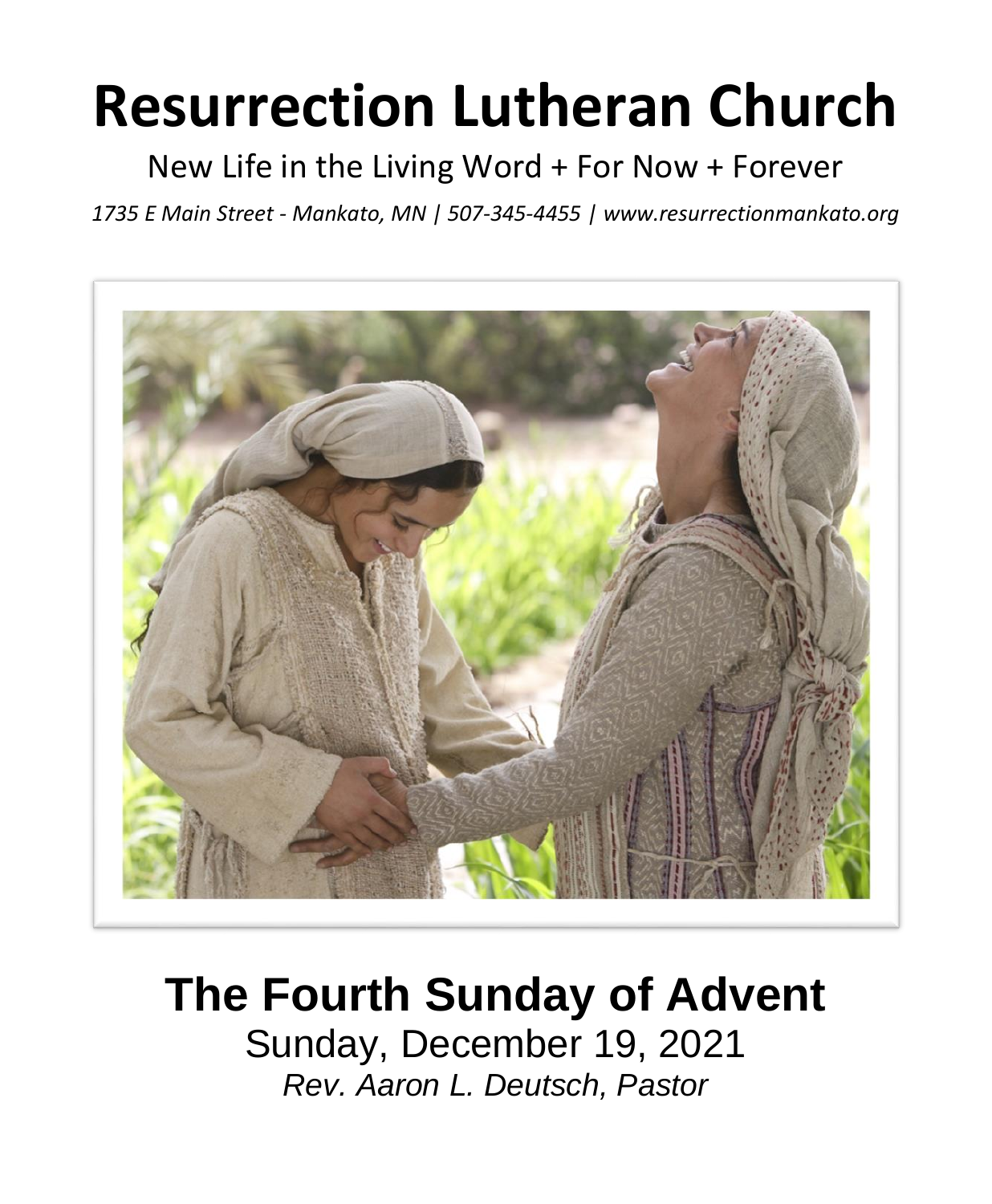# **Resurrection Lutheran Church**

New Life in the Living Word + For Now + Forever

*1735 E Main Street - Mankato, MN | 507-345-4455 | [www.resurrectionmankato.org](http://www.resurrectionmankato.org/)*



## **The Fourth Sunday of Advent**

Sunday, December 19, 2021 *Rev. Aaron L. Deutsch, Pastor*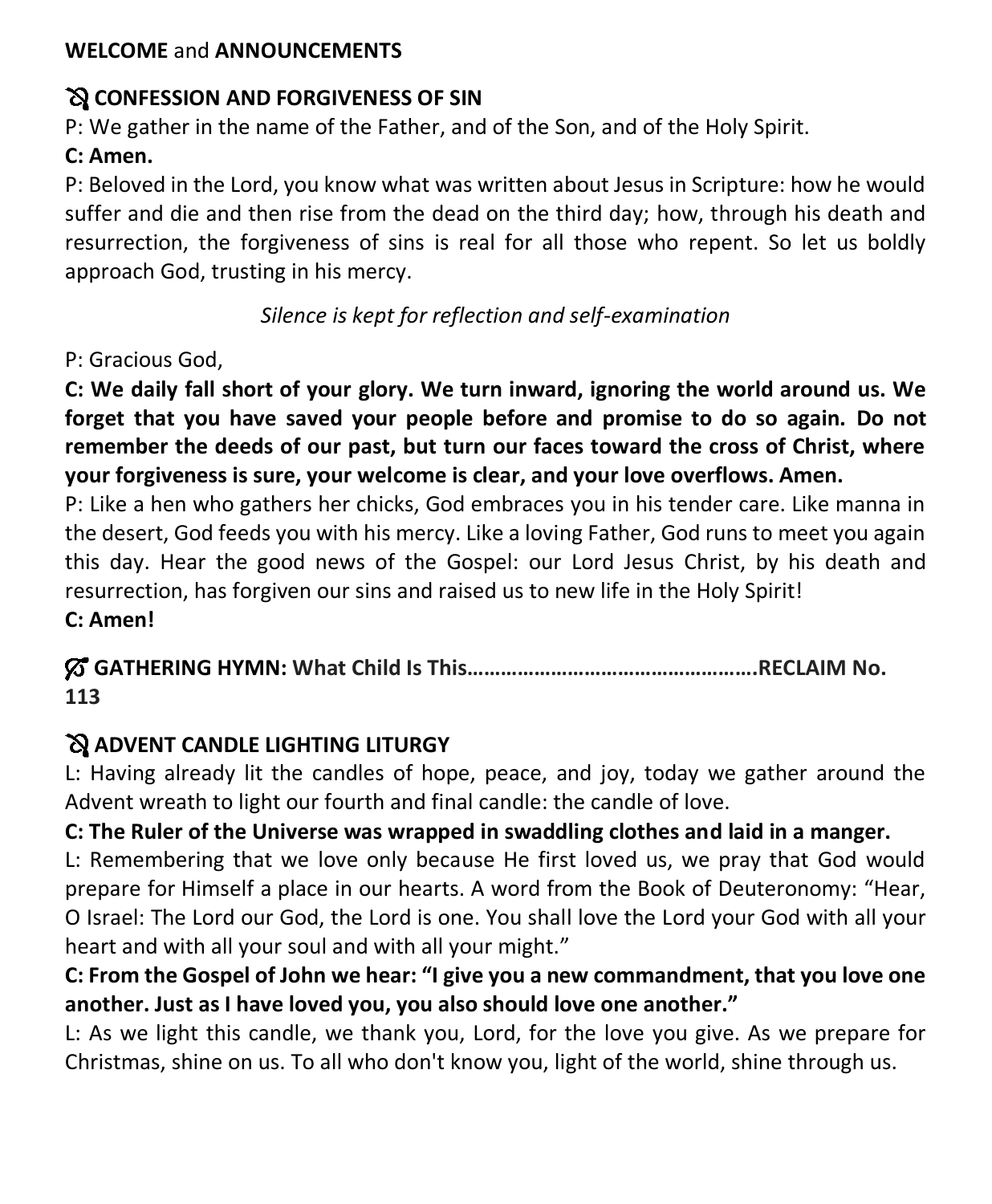#### **WELCOME** and **ANNOUNCEMENTS**

#### **CONFESSION AND FORGIVENESS OF SIN**

P: We gather in the name of the Father, and of the Son, and of the Holy Spirit.

#### **C: Amen.**

P: Beloved in the Lord, you know what was written about Jesus in Scripture: how he would suffer and die and then rise from the dead on the third day; how, through his death and resurrection, the forgiveness of sins is real for all those who repent. So let us boldly approach God, trusting in his mercy.

*Silence is kept for reflection and self-examination*

P: Gracious God,

**C: We daily fall short of your glory. We turn inward, ignoring the world around us. We forget that you have saved your people before and promise to do so again. Do not remember the deeds of our past, but turn our faces toward the cross of Christ, where your forgiveness is sure, your welcome is clear, and your love overflows. Amen.**

P: Like a hen who gathers her chicks, God embraces you in his tender care. Like manna in the desert, God feeds you with his mercy. Like a loving Father, God runs to meet you again this day. Hear the good news of the Gospel: our Lord Jesus Christ, by his death and resurrection, has forgiven our sins and raised us to new life in the Holy Spirit!

**C: Amen!** 

**GATHERING HYMN: What Child Is This…………………………………………….RECLAIM No. 113** 

#### **ADVENT CANDLE LIGHTING LITURGY**

L: Having already lit the candles of hope, peace, and joy, today we gather around the Advent wreath to light our fourth and final candle: the candle of love.

#### **C: The Ruler of the Universe was wrapped in swaddling clothes and laid in a manger.**

L: Remembering that we love only because He first loved us, we pray that God would prepare for Himself a place in our hearts. A word from the Book of Deuteronomy: "Hear, O Israel: The Lord our God, the Lord is one. You shall love the Lord your God with all your heart and with all your soul and with all your might."

#### **C: From the Gospel of John we hear: "I give you a new commandment, that you love one another. Just as I have loved you, you also should love one another."**

L: As we light this candle, we thank you, Lord, for the love you give. As we prepare for Christmas, shine on us. To all who don't know you, light of the world, shine through us.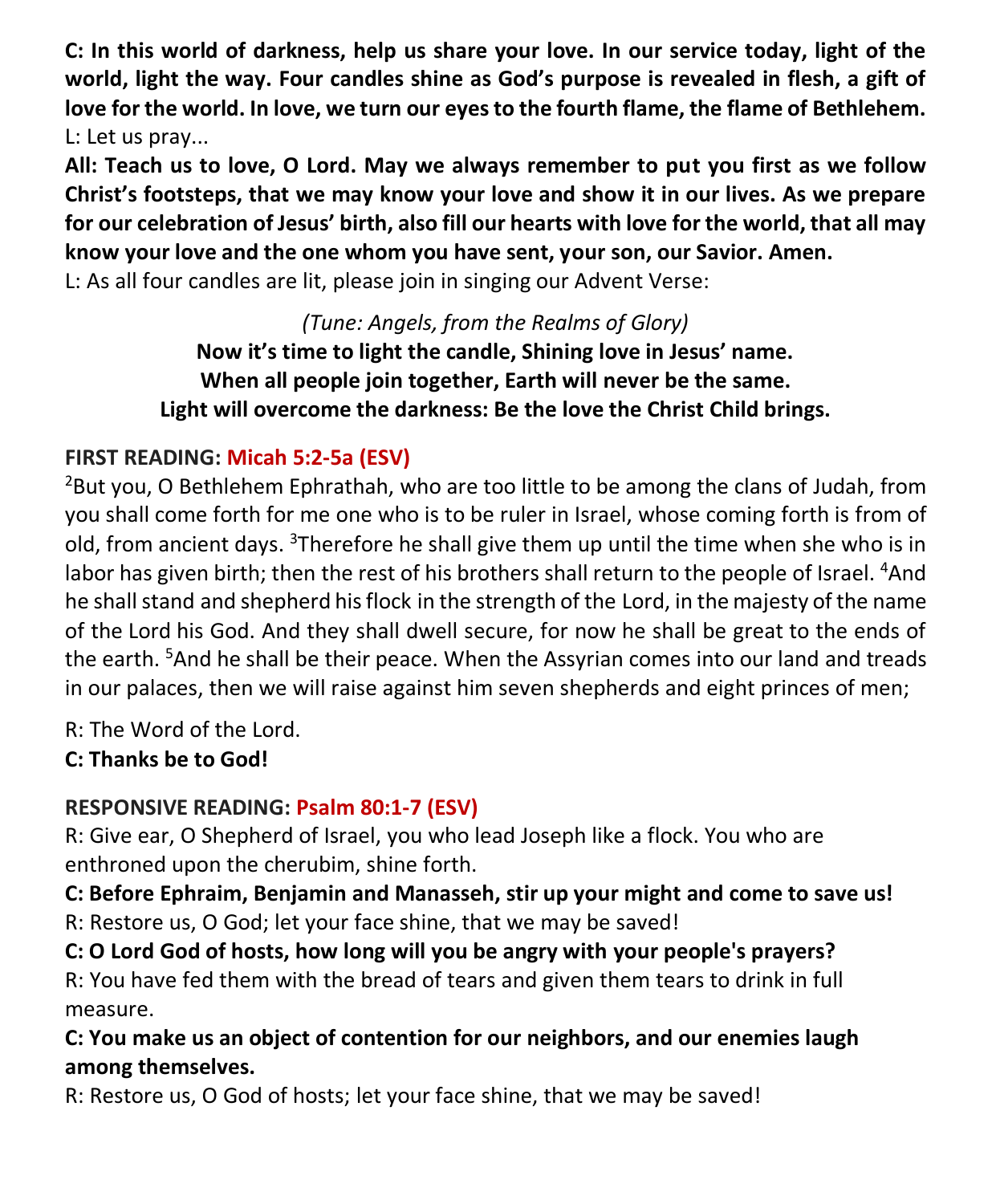**C: In this world of darkness, help us share your love. In our service today, light of the world, light the way. Four candles shine as God's purpose is revealed in flesh, a gift of love for the world. In love, we turn our eyes to the fourth flame, the flame of Bethlehem.**  L: Let us pray...

**All: Teach us to love, O Lord. May we always remember to put you first as we follow Christ's footsteps, that we may know your love and show it in our lives. As we prepare for our celebration of Jesus' birth, also fill our hearts with love for the world, that all may know your love and the one whom you have sent, your son, our Savior. Amen.** 

L: As all four candles are lit, please join in singing our Advent Verse:

*(Tune: Angels, from the Realms of Glory)* **Now it's time to light the candle, Shining love in Jesus' name. When all people join together, Earth will never be the same. Light will overcome the darkness: Be the love the Christ Child brings.**

#### **FIRST READING: Micah 5:2-5a (ESV)**

 $^{2}$ But you, O Bethlehem Ephrathah, who are too little to be among the clans of Judah, from you shall come forth for me one who is to be ruler in Israel, whose coming forth is from of old, from ancient days.  $3$ Therefore he shall give them up until the time when she who is in labor has given birth; then the rest of his brothers shall return to the people of Israel. <sup>4</sup>And he shall stand and shepherd his flock in the strength of the Lord, in the majesty of the name of the Lord his God. And they shall dwell secure, for now he shall be great to the ends of the earth. <sup>5</sup>And he shall be their peace. When the Assyrian comes into our land and treads in our palaces, then we will raise against him seven shepherds and eight princes of men;

R: The Word of the Lord.

**C: Thanks be to God!** 

#### **RESPONSIVE READING: Psalm 80:1-7 (ESV)**

R: Give ear, O Shepherd of Israel, you who lead Joseph like a flock. You who are enthroned upon the cherubim, shine forth.

**C: Before Ephraim, Benjamin and Manasseh, stir up your might and come to save us!** R: Restore us, O God; let your face shine, that we may be saved!

**C: O Lord God of hosts, how long will you be angry with your people's prayers?**

R: You have fed them with the bread of tears and given them tears to drink in full measure.

**C: You make us an object of contention for our neighbors, and our enemies laugh among themselves.**

R: Restore us, O God of hosts; let your face shine, that we may be saved!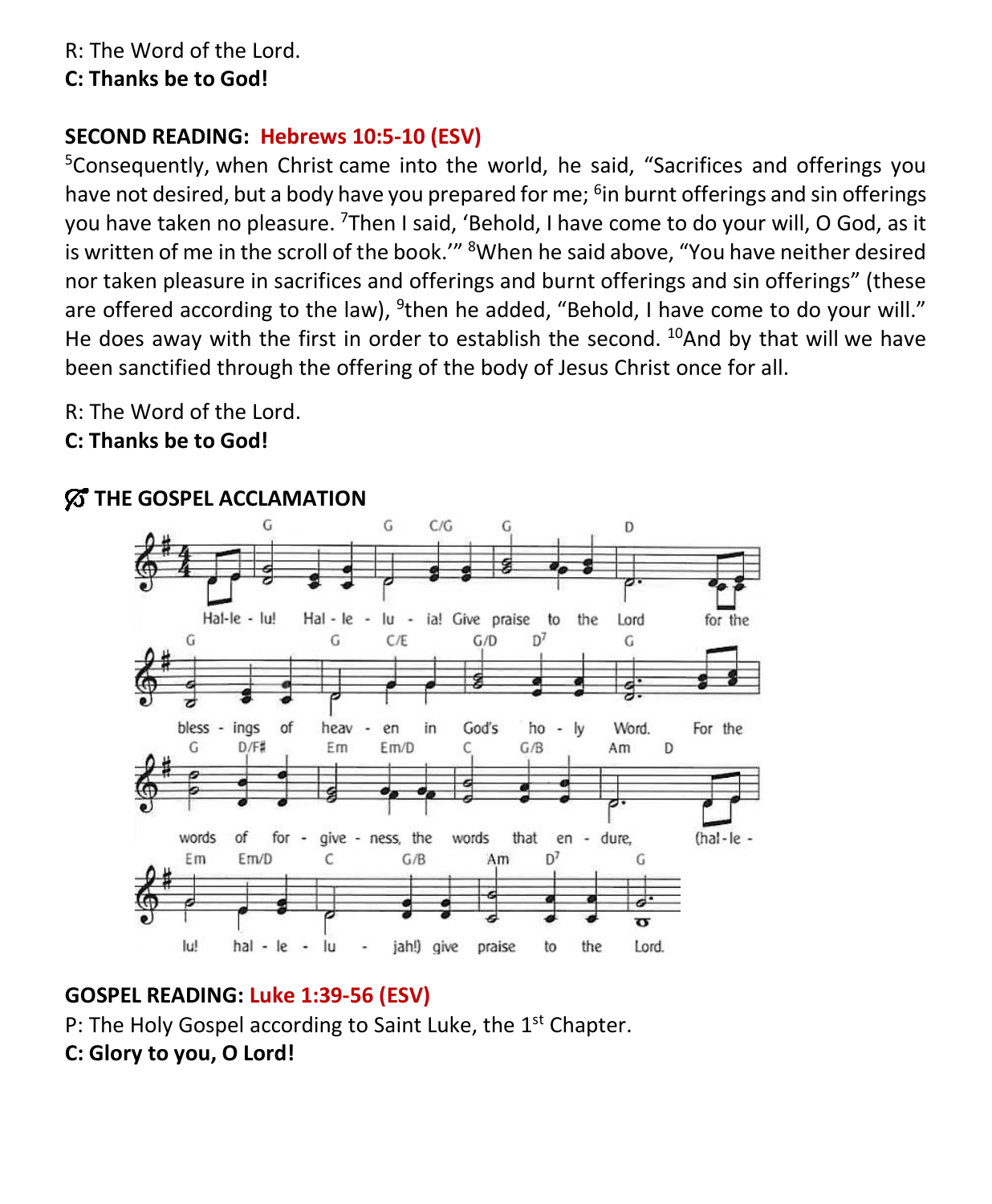#### **C: Thanks be to God!**

#### **SECOND READING: Hebrews 10:5-10 (ESV)**

<sup>5</sup>Consequently, when Christ came into the world, he said, "Sacrifices and offerings you have not desired, but a body have you prepared for me; <sup>6</sup>in burnt offerings and sin offerings you have taken no pleasure. <sup>7</sup>Then I said, 'Behold, I have come to do your will, O God, as it is written of me in the scroll of the book.'" <sup>8</sup>When he said above, "You have neither desired nor taken pleasure in sacrifices and offerings and burnt offerings and sin offerings" (these are offered according to the law), <sup>9</sup>then he added, "Behold, I have come to do your will." He does away with the first in order to establish the second.  $^{10}$ And by that will we have been sanctified through the offering of the body of Jesus Christ once for all.

R: The Word of the Lord.

**C: Thanks be to God!** 



#### $\%$  THE GOSPEL ACCLAMATION

#### **GOSPEL READING: Luke 1:39-56 (ESV)**

P: The Holy Gospel according to Saint Luke, the 1<sup>st</sup> Chapter.

**C: Glory to you, O Lord!**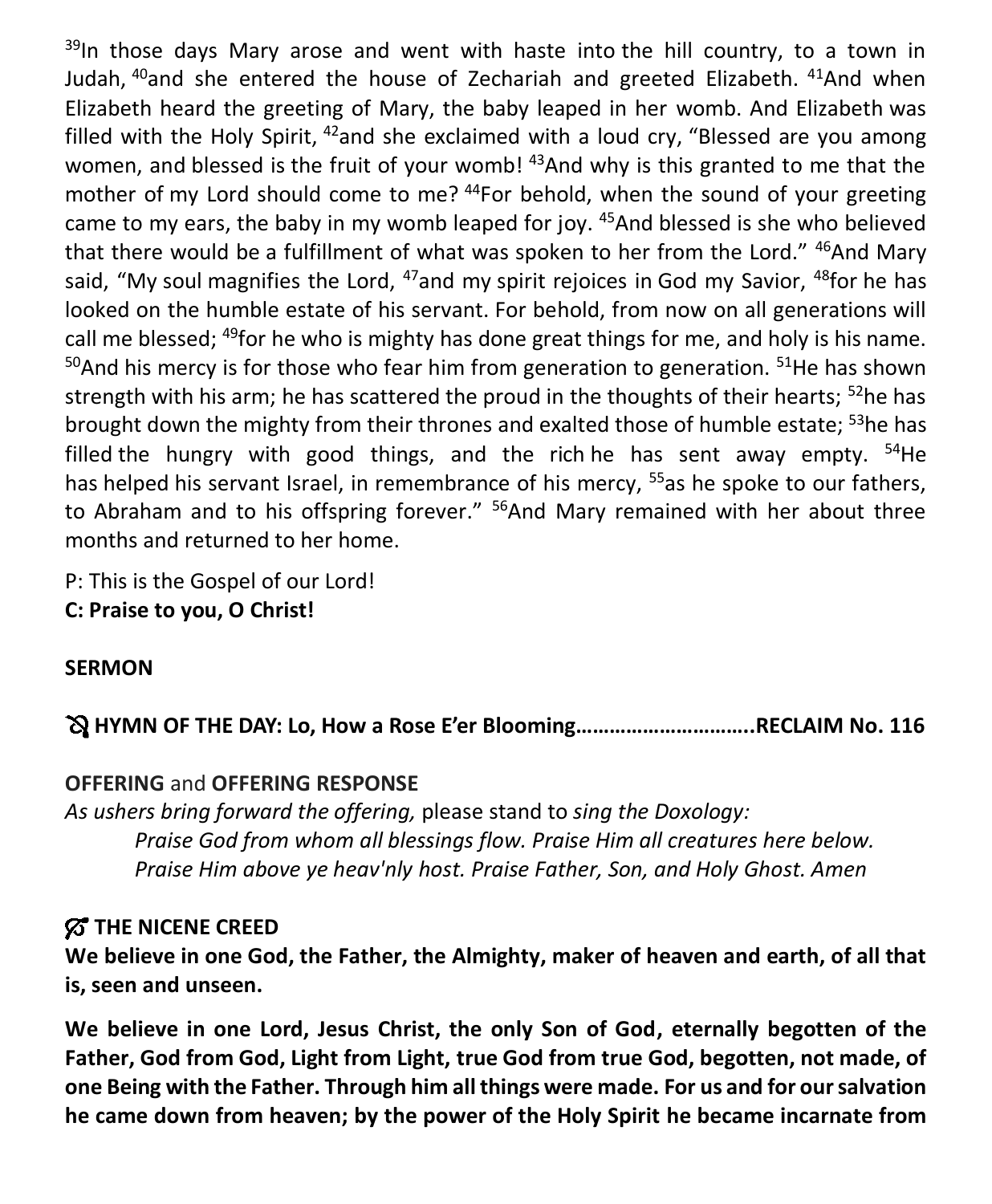$39$ In those days Mary arose and went with haste into the hill country, to a town in Judah, <sup>40</sup>and she entered the house of Zechariah and greeted Elizabeth. <sup>41</sup>And when Elizabeth heard the greeting of Mary, the baby leaped in her womb. And Elizabeth was filled with the Holy Spirit,  $42$  and she exclaimed with a loud cry, "Blessed are you among women, and blessed is the fruit of your womb! <sup>43</sup>And why is this granted to me that the mother of my Lord should come to me? <sup>44</sup>For behold, when the sound of your greeting came to my ears, the baby in my womb leaped for joy.  $45$ And blessed is she who believed that there would be a fulfillment of what was spoken to her from the Lord." <sup>46</sup>And Mary said, "My soul magnifies the Lord,  $47$  and my spirit rejoices in God my Savior,  $48$  for he has looked on the humble estate of his servant. For behold, from now on all generations will call me blessed;  $49$  for he who is mighty has done great things for me, and holy is his name.  $50$ And his mercy is for those who fear him from generation to generation.  $51$ He has shown strength with his arm; he has scattered the proud in the thoughts of their hearts; <sup>52</sup>he has brought down the mighty from their thrones and exalted those of humble estate: <sup>53</sup>he has filled the hungry with good things, and the rich he has sent away empty.  $54$ He has helped his servant Israel, in remembrance of his mercy, <sup>55</sup>as he spoke to our fathers, to Abraham and to his offspring forever." <sup>56</sup>And Mary remained with her about three months and returned to her home.

P: This is the Gospel of our Lord! **C: Praise to you, O Christ!** 

#### **SERMON**

**HYMN OF THE DAY: Lo, How a Rose E'er Blooming…………………………..RECLAIM No. 116**

#### **OFFERING** and **OFFERING RESPONSE**

*As ushers bring forward the offering,* please stand to *sing the Doxology: Praise God from whom all blessings flow. Praise Him all creatures here below. Praise Him above ye heav'nly host. Praise Father, Son, and Holy Ghost. Amen*

#### **THE NICENE CREED**

**We believe in one God, the Father, the Almighty, maker of heaven and earth, of all that is, seen and unseen.**

**We believe in one Lord, Jesus Christ, the only Son of God, eternally begotten of the Father, God from God, Light from Light, true God from true God, begotten, not made, of one Being with the Father. Through him all things were made. For us and for our salvation he came down from heaven; by the power of the Holy Spirit he became incarnate from**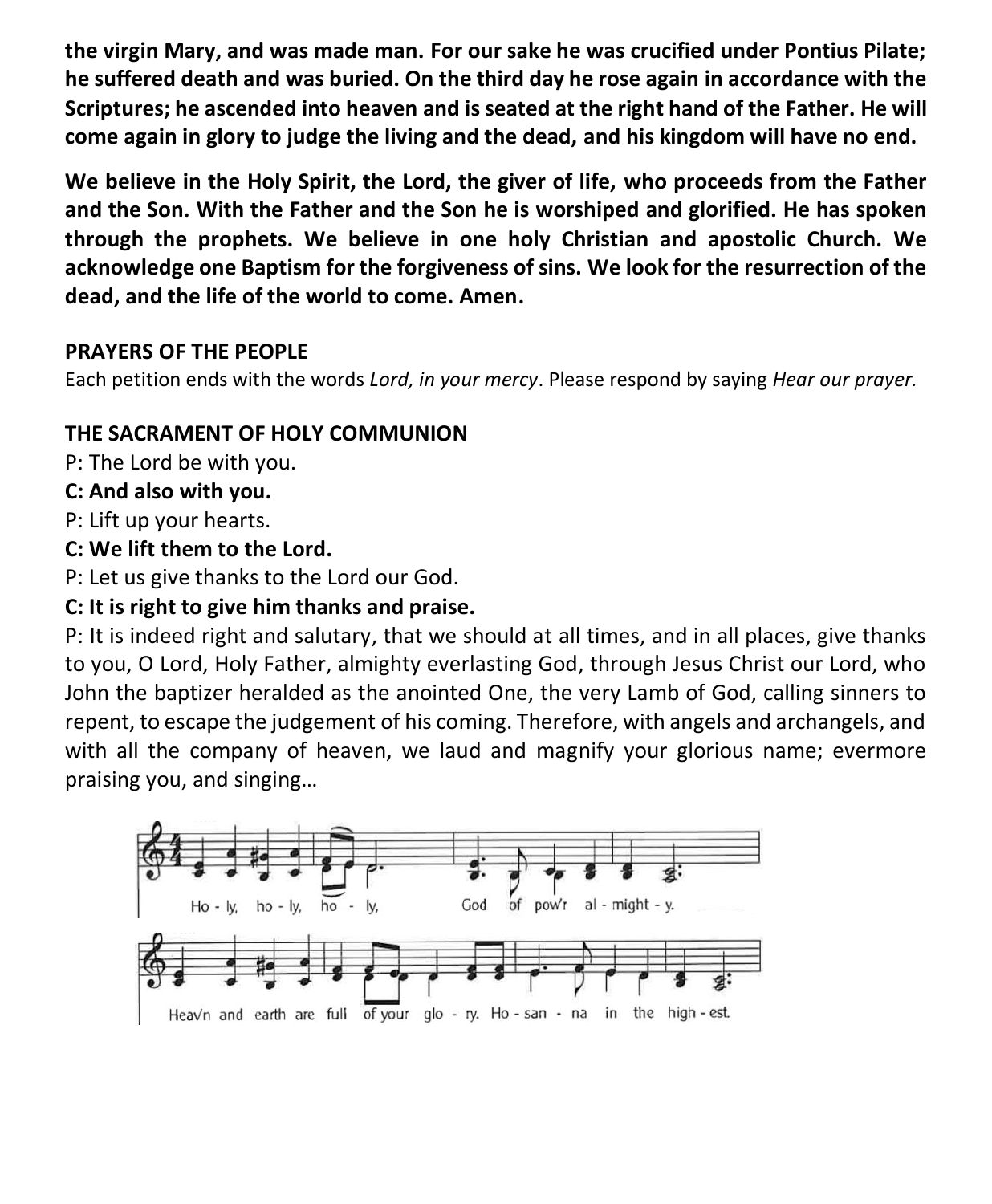**the virgin Mary, and was made man. For our sake he was crucified under Pontius Pilate; he suffered death and was buried. On the third day he rose again in accordance with the Scriptures; he ascended into heaven and is seated at the right hand of the Father. He will come again in glory to judge the living and the dead, and his kingdom will have no end.**

**We believe in the Holy Spirit, the Lord, the giver of life, who proceeds from the Father and the Son. With the Father and the Son he is worshiped and glorified. He has spoken through the prophets. We believe in one holy Christian and apostolic Church. We acknowledge one Baptism for the forgiveness of sins. We look for the resurrection of the dead, and the life of the world to come. Amen.**

#### **PRAYERS OF THE PEOPLE**

Each petition ends with the words *Lord, in your mercy*. Please respond by saying *Hear our prayer.*

#### **THE SACRAMENT OF HOLY COMMUNION**

P: The Lord be with you.

#### **C: And also with you.**

P: Lift up your hearts.

#### **C: We lift them to the Lord.**

P: Let us give thanks to the Lord our God.

#### **C: It is right to give him thanks and praise.**

P: It is indeed right and salutary, that we should at all times, and in all places, give thanks to you, O Lord, Holy Father, almighty everlasting God, through Jesus Christ our Lord, who John the baptizer heralded as the anointed One, the very Lamb of God, calling sinners to repent, to escape the judgement of his coming. Therefore, with angels and archangels, and with all the company of heaven, we laud and magnify your glorious name; evermore praising you, and singing…

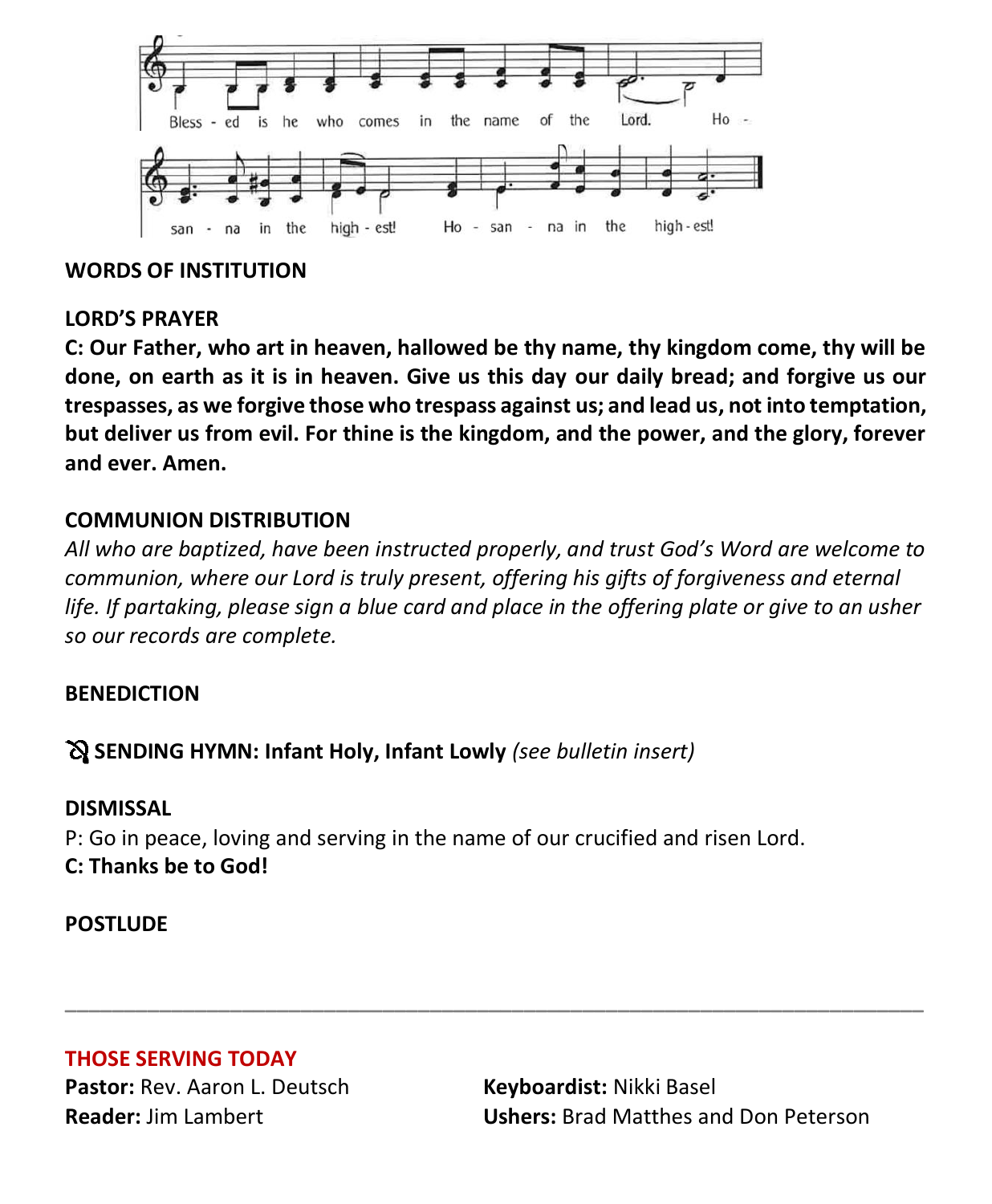

#### **WORDS OF INSTITUTION**

#### **LORD'S PRAYER**

**C: Our Father, who art in heaven, hallowed be thy name, thy kingdom come, thy will be done, on earth as it is in heaven. Give us this day our daily bread; and forgive us our trespasses, as we forgive those who trespass against us; and lead us, not into temptation, but deliver us from evil. For thine is the kingdom, and the power, and the glory, forever and ever. Amen.**

#### **COMMUNION DISTRIBUTION**

*All who are baptized, have been instructed properly, and trust God's Word are welcome to communion, where our Lord is truly present, offering his gifts of forgiveness and eternal life. If partaking, please sign a blue card and place in the offering plate or give to an usher so our records are complete.*

**\_\_\_\_\_\_\_\_\_\_\_\_\_\_\_\_\_\_\_\_\_\_\_\_\_\_\_\_\_\_\_\_\_\_\_\_\_\_\_\_\_\_\_\_\_\_\_\_\_\_\_\_\_\_\_\_\_\_\_\_\_\_\_\_\_\_\_\_\_\_\_\_\_**

#### **BENEDICTION**

#### **SENDING HYMN: Infant Holy, Infant Lowly** *(see bulletin insert)*

#### **DISMISSAL**

P: Go in peace, loving and serving in the name of our crucified and risen Lord. **C: Thanks be to God!**

#### **POSTLUDE**

#### **THOSE SERVING TODAY**

**Pastor:** Rev. Aaron L. Deutsch **Keyboardist:** Nikki Basel

**Reader:** Jim Lambert **Ushers:** Brad Matthes and Don Peterson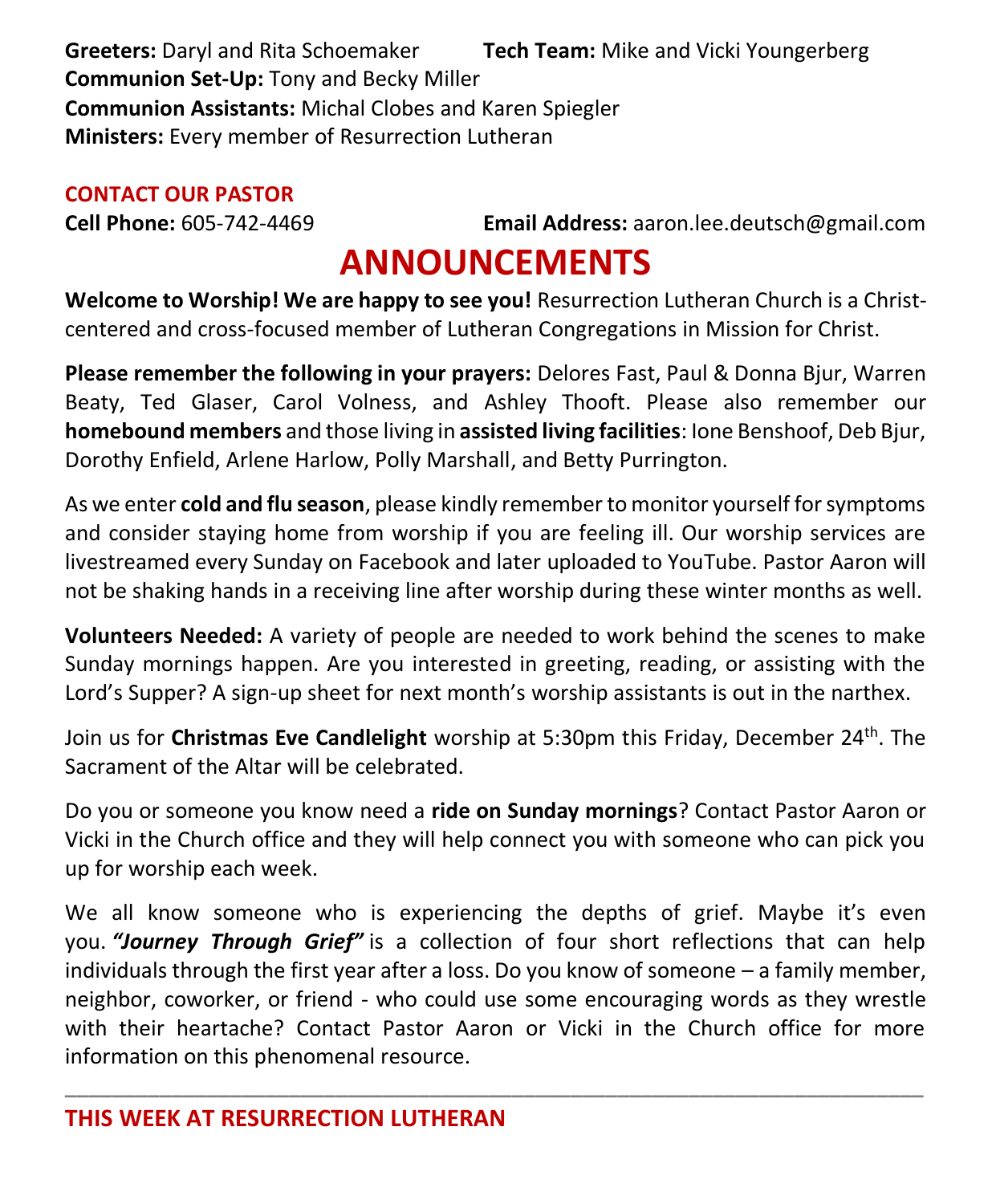**Greeters:** Daryl and Rita Schoemaker **Tech Team:** Mike and Vicki Youngerberg **Communion Set-Up:** Tony and Becky Miller **Communion Assistants:** Michal Clobes and Karen Spiegler **Ministers:** Every member of Resurrection Lutheran

#### **CONTACT OUR PASTOR**

**Cell Phone:** 605-742-4469 **Email Address:** [aaron.lee.deutsch@gmail.com](mailto:aaron.lee.deutsch@gmail.com)

### **ANNOUNCEMENTS**

**Welcome to Worship! We are happy to see you!** Resurrection Lutheran Church is a Christcentered and cross-focused member of Lutheran Congregations in Mission for Christ.

**Please remember the following in your prayers:** Delores Fast, Paul & Donna Bjur, Warren Beaty, Ted Glaser, Carol Volness, and Ashley Thooft. Please also remember our **homebound members** and those living in **assisted living facilities**: Ione Benshoof, Deb Bjur, Dorothy Enfield, Arlene Harlow, Polly Marshall, and Betty Purrington.

As we enter **cold and flu season**, please kindly remember to monitor yourself for symptoms and consider staying home from worship if you are feeling ill. Our worship services are livestreamed every Sunday on Facebook and later uploaded to YouTube. Pastor Aaron will not be shaking hands in a receiving line after worship during these winter months as well.

**Volunteers Needed:** A variety of people are needed to work behind the scenes to make Sunday mornings happen. Are you interested in greeting, reading, or assisting with the Lord's Supper? A sign-up sheet for next month's worship assistants is out in the narthex.

Join us for **Christmas Eve Candlelight** worship at 5:30pm this Friday, December 24th. The Sacrament of the Altar will be celebrated.

Do you or someone you know need a **ride on Sunday mornings**? Contact Pastor Aaron or Vicki in the Church office and they will help connect you with someone who can pick you up for worship each week.

We all know someone who is experiencing the depths of grief. Maybe it's even you. *"Journey Through Grief"* is a collection of four short reflections that can help individuals through the first year after a loss. Do you know of someone – a family member, neighbor, coworker, or friend - who could use some encouraging words as they wrestle with their heartache? Contact Pastor Aaron or Vicki in the Church office for more information on this phenomenal resource.

**\_\_\_\_\_\_\_\_\_\_\_\_\_\_\_\_\_\_\_\_\_\_\_\_\_\_\_\_\_\_\_\_\_\_\_\_\_\_\_\_\_\_\_\_\_\_\_\_\_\_\_\_\_\_\_\_\_\_\_\_\_\_\_\_\_\_\_\_\_\_\_\_\_**